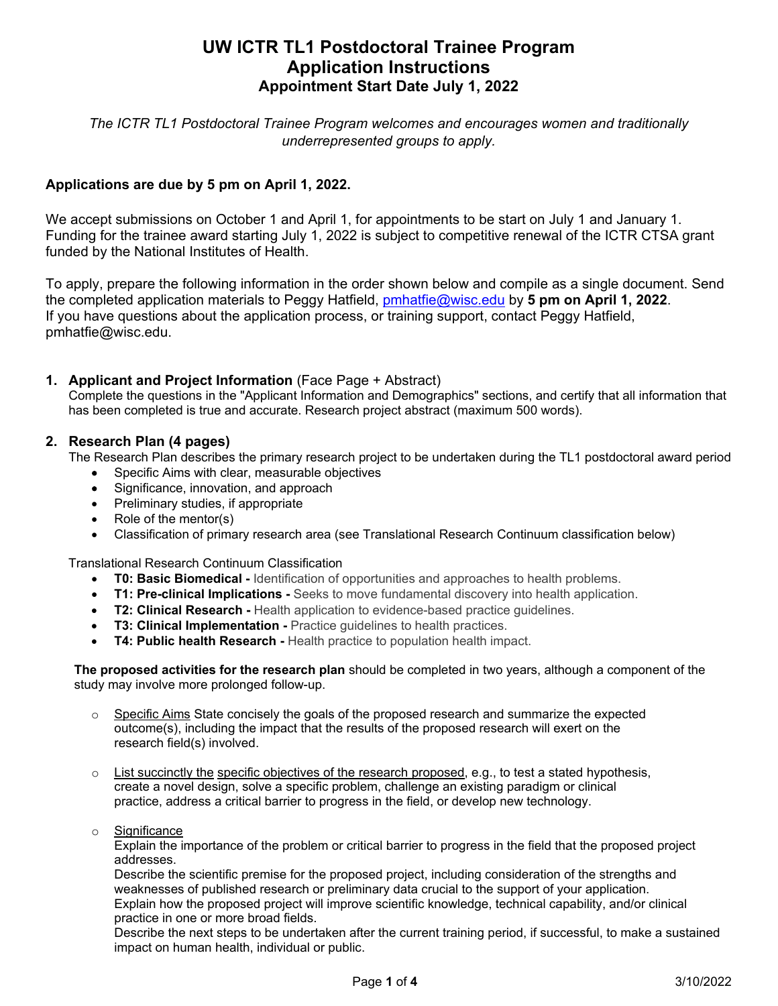# **UW ICTR TL1 Postdoctoral Trainee Program Application Instructions Appointment Start Date July 1, 2022**

*The ICTR TL1 Postdoctoral Trainee Program welcomes and encourages women and traditionally underrepresented groups to apply.*

# **Applications are due by 5 pm on April 1, 2022.**

We accept submissions on October 1 and April 1, for appointments to be start on July 1 and January 1. Funding for the trainee award starting July 1, 2022 is subject to competitive renewal of the ICTR CTSA grant funded by the National Institutes of Health.

To apply, prepare the following information in the order shown below and compile as a single document. Send the completed application materials to Peggy Hatfield, [pmhatfie@wisc.edu](mailto:pmhatfie@wisc.edu) by **5 pm on April 1, 2022**. If you have questions about the application process, or training support, contact Peggy Hatfield, pmhatfie@wisc.edu.

### **1. Applicant and Project Information** (Face Page + Abstract)

Complete the questions in the "Applicant Information and Demographics" sections, and certify that all information that has been completed is true and accurate. Research project abstract (maximum 500 words).

### **2. Research Plan (4 pages)**

The Research Plan describes the primary research project to be undertaken during the TL1 postdoctoral award period

- Specific Aims with clear, measurable objectives
- Significance, innovation, and approach
- Preliminary studies, if appropriate
- Role of the mentor(s)
- Classification of primary research area (see Translational Research Continuum classification below)

Translational Research Continuum Classification

- **T0: Basic Biomedical -** Identification of opportunities and approaches to health problems.
- **T1: Pre-clinical Implications -** Seeks to move fundamental discovery into health application.
- **T2: Clinical Research -** Health application to evidence-based practice quidelines.
- **T3: Clinical Implementation -** Practice guidelines to health practices.
- **T4: Public health Research -** Health practice to population health impact.

**The proposed activities for the research plan** should be completed in two years, although a component of the study may involve more prolonged follow-up.

- $\circ$  Specific Aims State concisely the goals of the proposed research and summarize the expected outcome(s), including the impact that the results of the proposed research will exert on the research field(s) involved.
- $\circ$  List succinctly the specific objectives of the research proposed, e.g., to test a stated hypothesis, create a novel design, solve a specific problem, challenge an existing paradigm or clinical practice, address a critical barrier to progress in the field, or develop new technology.
- o Significance

Explain the importance of the problem or critical barrier to progress in the field that the proposed project addresses.

Describe the scientific premise for the proposed project, including consideration of the strengths and weaknesses of published research or preliminary data crucial to the support of your application. Explain how the proposed project will improve scientific knowledge, technical capability, and/or clinical practice in one or more broad fields.

Describe the next steps to be undertaken after the current training period, if successful, to make a sustained impact on human health, individual or public.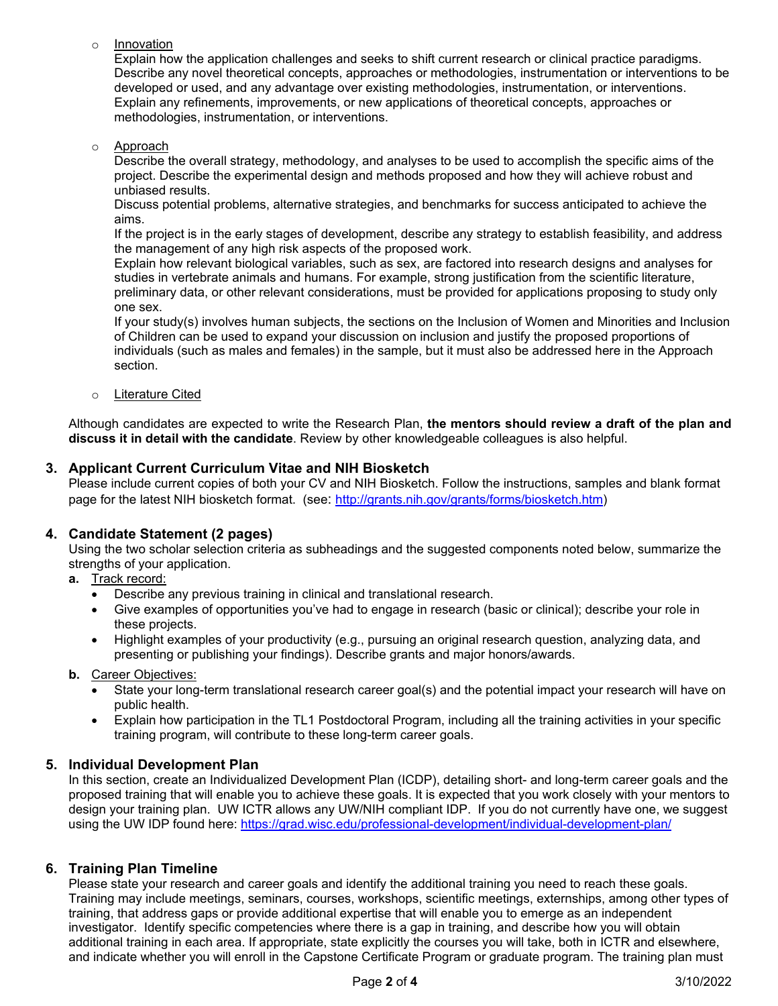o Innovation

Explain how the application challenges and seeks to shift current research or clinical practice paradigms. Describe any novel theoretical concepts, approaches or methodologies, instrumentation or interventions to be developed or used, and any advantage over existing methodologies, instrumentation, or interventions. Explain any refinements, improvements, or new applications of theoretical concepts, approaches or methodologies, instrumentation, or interventions.

o Approach

Describe the overall strategy, methodology, and analyses to be used to accomplish the specific aims of the project. Describe the experimental design and methods proposed and how they will achieve robust and unbiased results.

Discuss potential problems, alternative strategies, and benchmarks for success anticipated to achieve the aims.

If the project is in the early stages of development, describe any strategy to establish feasibility, and address the management of any high risk aspects of the proposed work.

Explain how relevant biological variables, such as sex, are factored into research designs and analyses for studies in vertebrate animals and humans. For example, strong justification from the scientific literature, preliminary data, or other relevant considerations, must be provided for applications proposing to study only one sex.

If your study(s) involves human subjects, the sections on the Inclusion of Women and Minorities and Inclusion of Children can be used to expand your discussion on inclusion and justify the proposed proportions of individuals (such as males and females) in the sample, but it must also be addressed here in the Approach section.

o Literature Cited

Although candidates are expected to write the Research Plan, **the mentors should review a draft of the plan and discuss it in detail with the candidate**. Review by other knowledgeable colleagues is also helpful.

# **3. Applicant Current Curriculum Vitae and NIH Biosketch**

Please include current copies of both your CV and NIH Biosketch. Follow the instructions, samples and blank format page for the latest NIH biosketch format. (see[:](http://grants.nih.gov/grants/forms/biosketch.htm) [http://grants.nih.gov/grants/forms/biosketch.htm\)](http://grants.nih.gov/grants/forms/biosketch.htm)

# **4. Candidate Statement (2 pages)**

Using the two scholar selection criteria as subheadings and the suggested components noted below, summarize the strengths of your application.

- **a.** Track record:
	- Describe any previous training in clinical and translational research.
	- Give examples of opportunities you've had to engage in research (basic or clinical); describe your role in these projects.
	- Highlight examples of your productivity (e.g., pursuing an original research question, analyzing data, and presenting or publishing your findings). Describe grants and major honors/awards.

#### **b.** Career Objectives:

- State your long-term translational research career goal(s) and the potential impact your research will have on public health.
- Explain how participation in the TL1 Postdoctoral Program, including all the training activities in your specific training program, will contribute to these long-term career goals.

#### **5. Individual Development Plan**

In this section, create an Individualized Development Plan (ICDP), detailing short- and long-term career goals and the proposed training that will enable you to achieve these goals. It is expected that you work closely with your mentors to design your training plan. UW ICTR allows any UW/NIH compliant IDP. If you do not currently have one, we suggest using the UW IDP found here:<https://grad.wisc.edu/professional-development/individual-development-plan/>

#### **6. Training Plan Timeline**

Please state your research and career goals and identify the additional training you need to reach these goals. Training may include meetings, seminars, courses, workshops, scientific meetings, externships, among other types of training, that address gaps or provide additional expertise that will enable you to emerge as an independent investigator. Identify specific competencies where there is a gap in training, and describe how you will obtain additional training in each area. If appropriate, state explicitly the courses you will take, both in ICTR and elsewhere, and indicate whether you will enroll in the Capstone Certificate Program or graduate program. The training plan must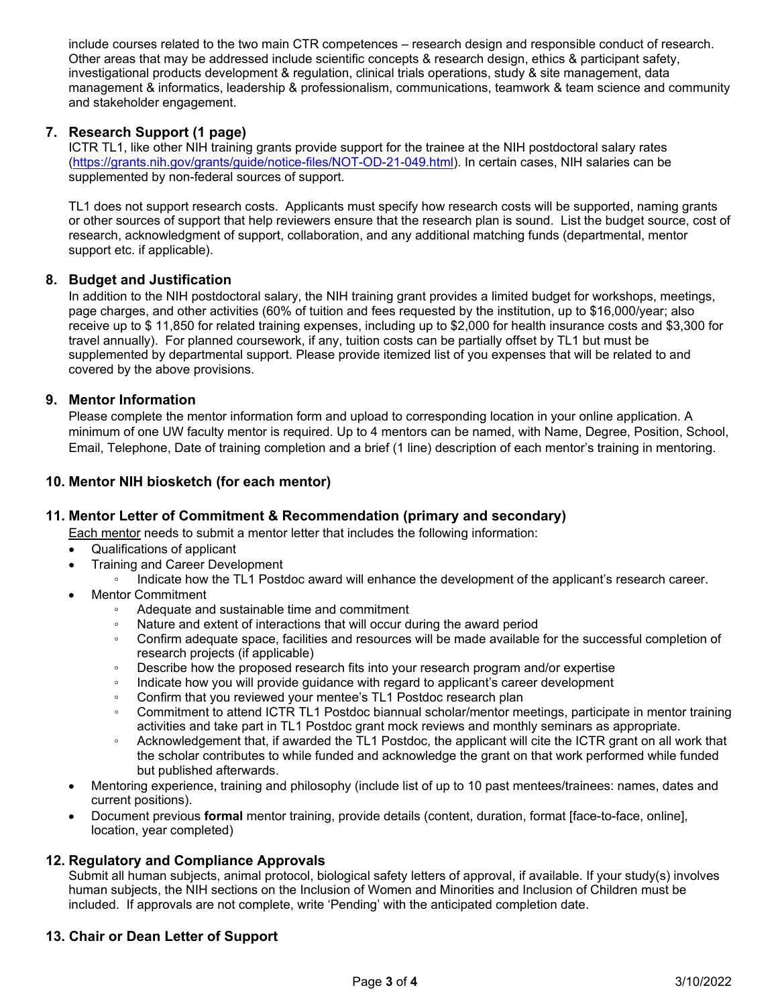include courses related to the two main CTR competences – research design and responsible conduct of research. Other areas that may be addressed include scientific concepts & research design, ethics & participant safety, investigational products development & regulation, clinical trials operations, study & site management, data management & informatics, leadership & professionalism, communications, teamwork & team science and community and stakeholder engagement.

# **7. Research Support (1 page)**

ICTR TL1, like other NIH training grants provide support for the trainee at the NIH postdoctoral salary rates [\(https://grants.nih.gov/grants/guide/notice-files/NOT-OD-21-049.html\)](https://grants.nih.gov/grants/guide/notice-files/NOT-OD-21-049.html). In certain cases, NIH salaries can be supplemented by non-federal sources of support.

TL1 does not support research costs. Applicants must specify how research costs will be supported, naming grants or other sources of support that help reviewers ensure that the research plan is sound. List the budget source, cost of research, acknowledgment of support, collaboration, and any additional matching funds (departmental, mentor support etc. if applicable).

### **8. Budget and Justification**

In addition to the NIH postdoctoral salary, the NIH training grant provides a limited budget for workshops, meetings, page charges, and other activities (60% of tuition and fees requested by the institution, up to \$16,000/year; also receive up to \$ 11,850 for related training expenses, including up to \$2,000 for health insurance costs and \$3,300 for travel annually). For planned coursework, if any, tuition costs can be partially offset by TL1 but must be supplemented by departmental support. Please provide itemized list of you expenses that will be related to and covered by the above provisions.

#### **9. Mentor Information**

Please complete the mentor information form and upload to corresponding location in your online application. A minimum of one UW faculty mentor is required. Up to 4 mentors can be named, with Name, Degree, Position, School, Email, Telephone, Date of training completion and a brief (1 line) description of each mentor's training in mentoring.

### **10. Mentor NIH biosketch (for each mentor)**

# **11. Mentor Letter of Commitment & Recommendation (primary and secondary)**

Each mentor needs to submit a mentor letter that includes the following information:

- Qualifications of applicant
- Training and Career Development
	- Indicate how the TL1 Postdoc award will enhance the development of the applicant's research career.
- Mentor Commitment
	- Adequate and sustainable time and commitment
	- Nature and extent of interactions that will occur during the award period
	- Confirm adequate space, facilities and resources will be made available for the successful completion of research projects (if applicable)
	- Describe how the proposed research fits into your research program and/or expertise
	- Indicate how you will provide guidance with regard to applicant's career development
	- Confirm that you reviewed your mentee's TL1 Postdoc research plan
	- Commitment to attend ICTR TL1 Postdoc biannual scholar/mentor meetings, participate in mentor training activities and take part in TL1 Postdoc grant mock reviews and monthly seminars as appropriate.
	- Acknowledgement that, if awarded the TL1 Postdoc, the applicant will cite the ICTR grant on all work that the scholar contributes to while funded and acknowledge the grant on that work performed while funded but published afterwards.
- Mentoring experience, training and philosophy (include list of up to 10 past mentees/trainees: names, dates and current positions).
- Document previous **formal** mentor training, provide details (content, duration, format [face-to-face, online], location, year completed)

#### **12. Regulatory and Compliance Approvals**

Submit all human subjects, animal protocol, biological safety letters of approval, if available. If your study(s) involves human subjects, the NIH sections on the Inclusion of Women and Minorities and Inclusion of Children must be included. If approvals are not complete, write 'Pending' with the anticipated completion date.

# **13. Chair or Dean Letter of Support**